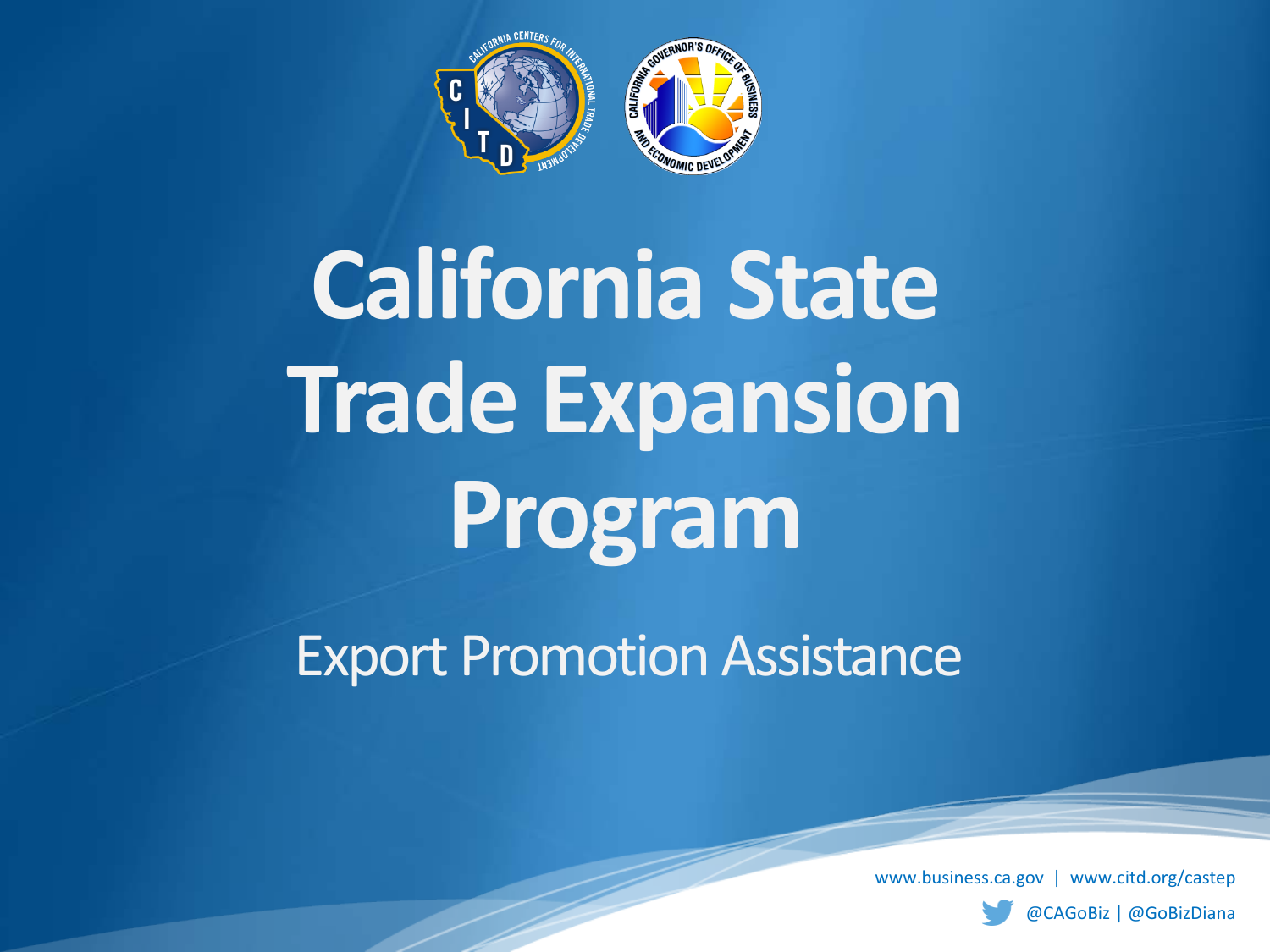

**California State Trade Expansion Program**

Export Promotion Assistance

www.business.ca.gov | www.citd.org/castep

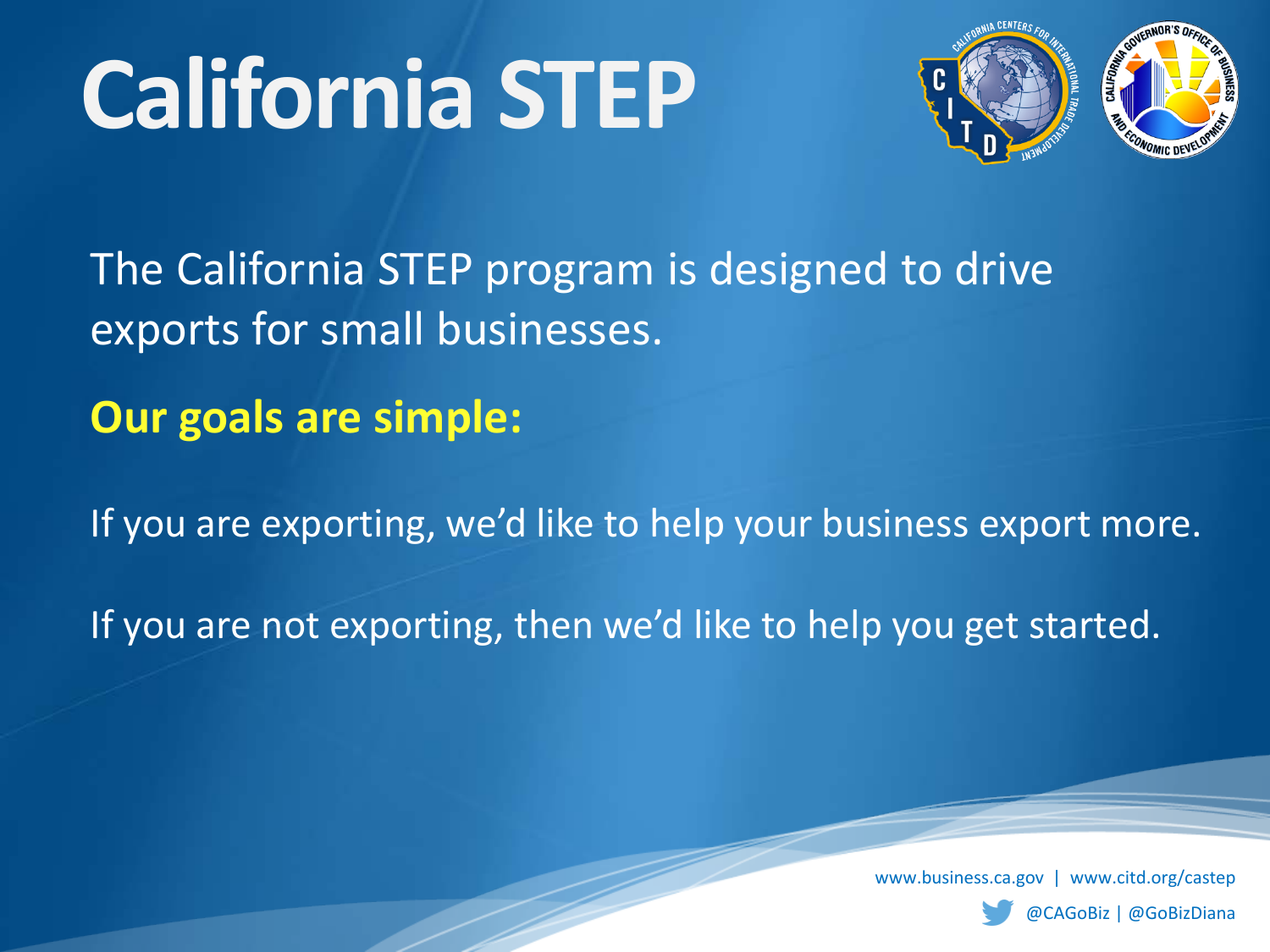

The California STEP program is designed to drive exports for small businesses.

**Our goals are simple:**

If you are exporting, we'd like to help your business export more.

If you are not exporting, then we'd like to help you get started.

www.business.ca.gov | www.citd.org/castep

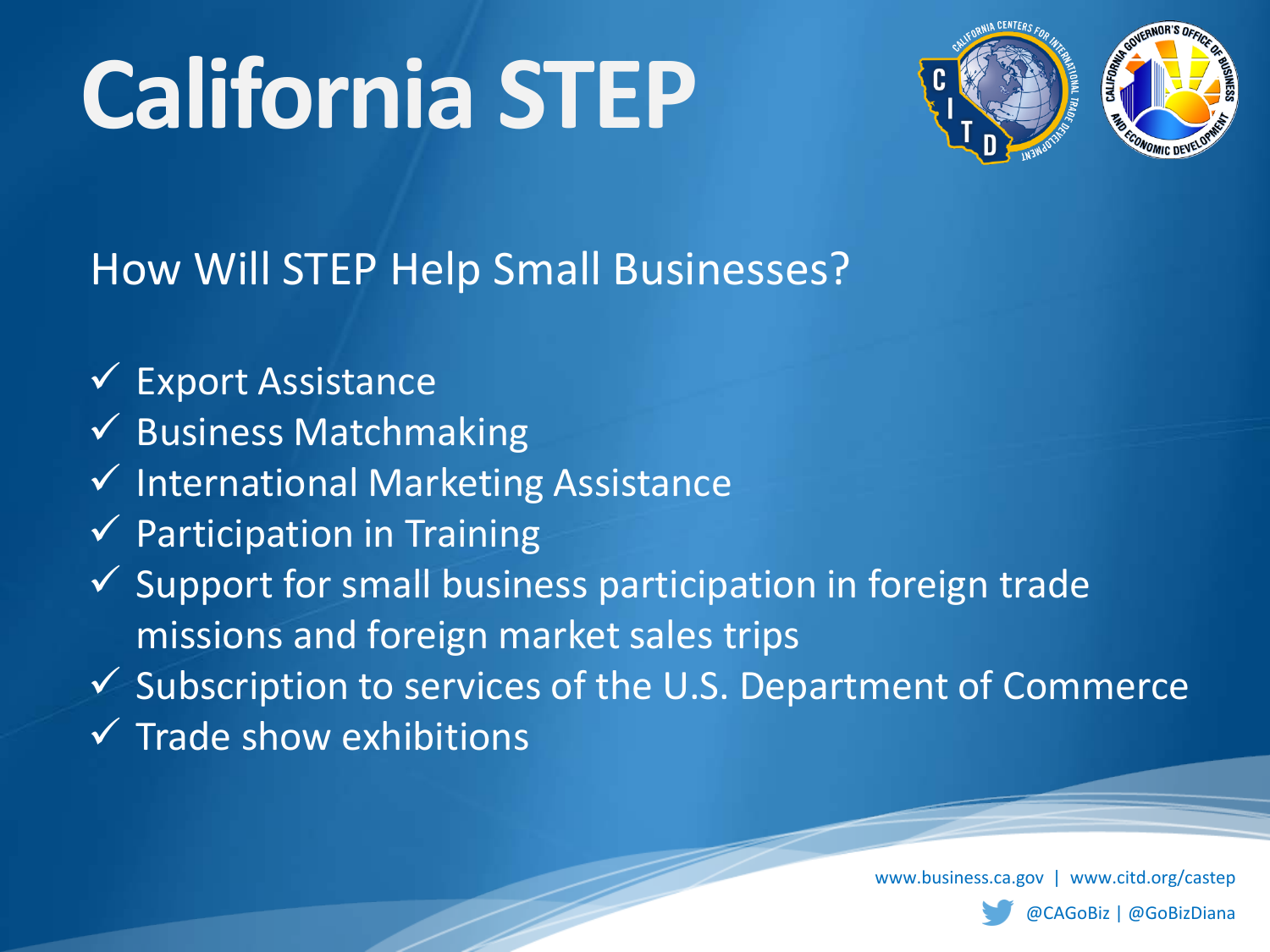

### How Will STEP Help Small Businesses?

- $\checkmark$  Export Assistance
- $\checkmark$  Business Matchmaking
- $\checkmark$  International Marketing Assistance
- $\checkmark$  Participation in Training
- $\checkmark$  Support for small business participation in foreign trade missions and foreign market sales trips
- $\checkmark$  Subscription to services of the U.S. Department of Commerce
- $\sqrt{\ }$  Trade show exhibitions

www.business.ca.gov | www.citd.org/castep

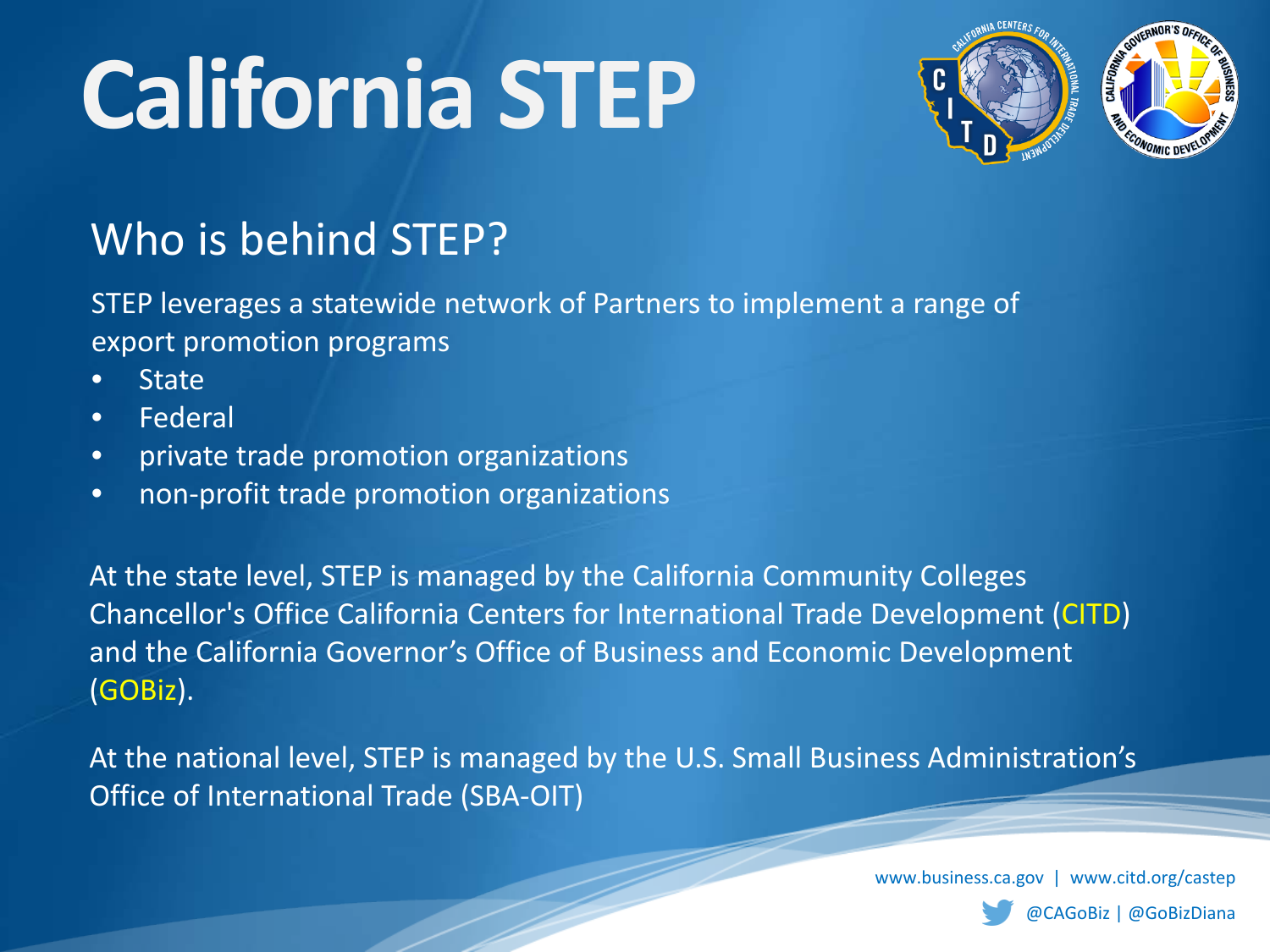

### Who is behind STEP?

STEP leverages a statewide network of Partners to implement a range of export promotion programs

- **State**
- Federal
- private trade promotion organizations
- non-profit trade promotion organizations

At the state level, STEP is managed by the California Community Colleges Chancellor's Office California Centers for International Trade Development (CITD) and the California Governor's Office of Business and Economic Development (GOBiz).

At the national level, STEP is managed by the U.S. Small Business Administration's Office of International Trade (SBA-OIT)

www.business.ca.gov | www.citd.org/castep

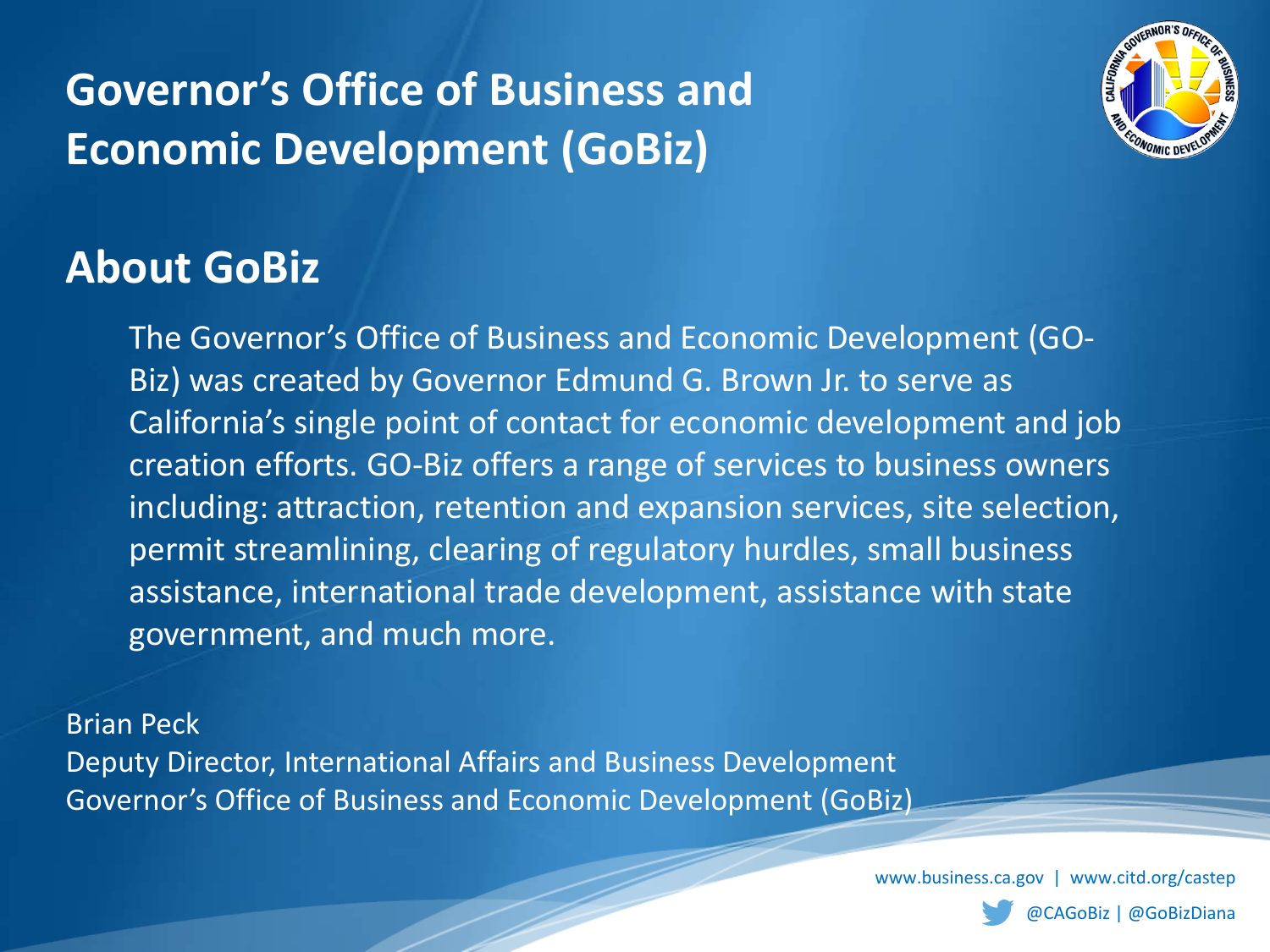### **Governor's Office of Business and Economic Development (GoBiz)**



### **About GoBiz**

The Governor's Office of Business and Economic Development (GO-Biz) was created by Governor Edmund G. Brown Jr. to serve as California's single point of contact for economic development and job creation efforts. GO-Biz offers a range of services to business owners including: attraction, retention and expansion services, site selection, permit streamlining, clearing of regulatory hurdles, small business assistance, international trade development, assistance with state government, and much more.

Brian Peck

Deputy Director, International Affairs and Business Development Governor's Office of Business and Economic Development (GoBiz)

www.business.ca.gov | www.citd.org/castep

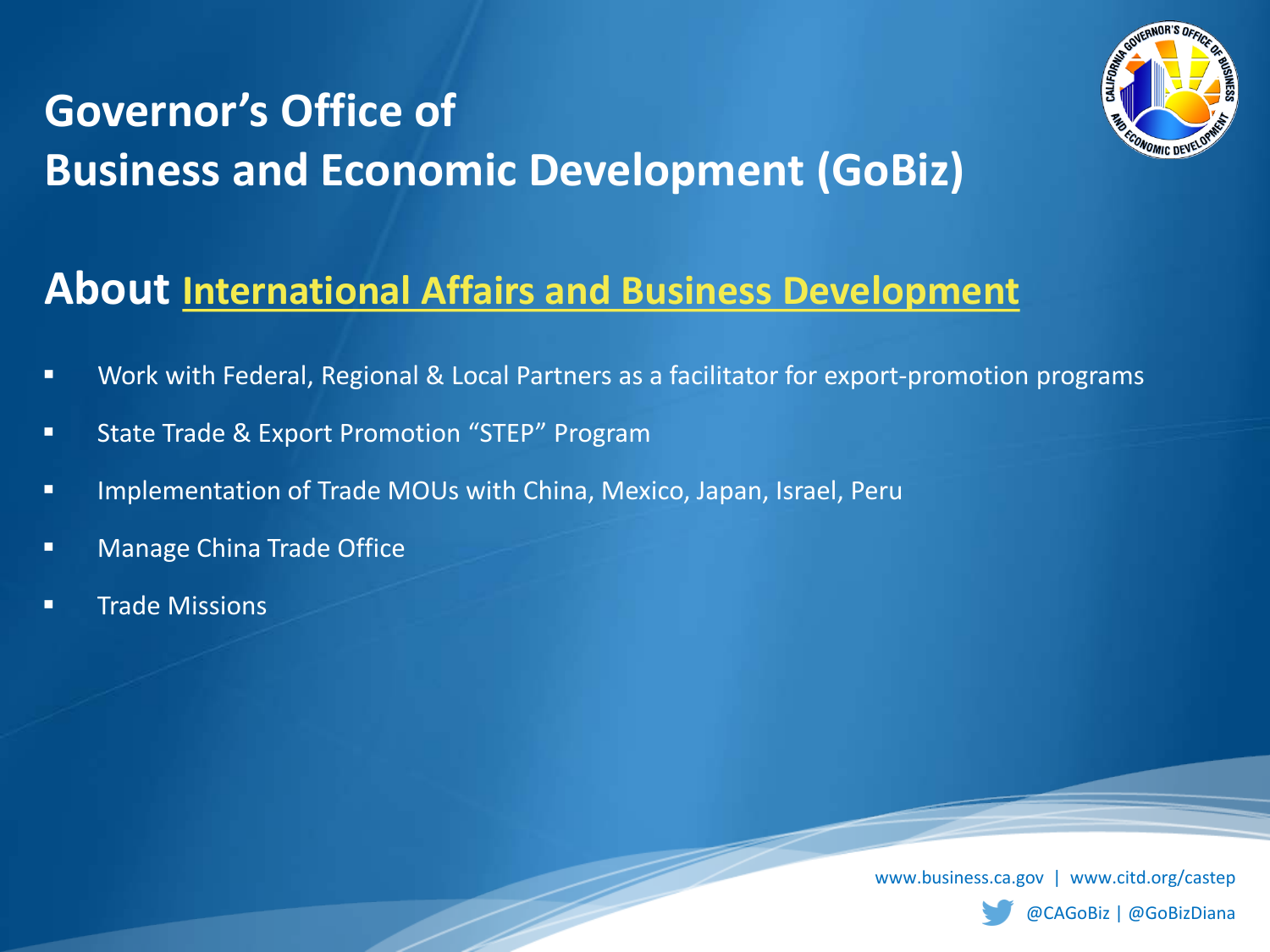## **Governor's Office of Business and Economic Development (GoBiz)**



### **About [International Affairs and Business Development](https://www.business.ca.gov/International.aspx)**

- **URED Work with Federal, Regional & Local Partners as a facilitator for export-promotion programs**
- **State Trade & Export Promotion "STEP" Program**
- **IMPLEMENTER INGLED INCOUS WITH CHINA, Mexico, Japan, Israel, Perult and Incord**
- **Nanage China Trade Office**
- **Trade Missions**

www.business.ca.gov | www.citd.org/castep

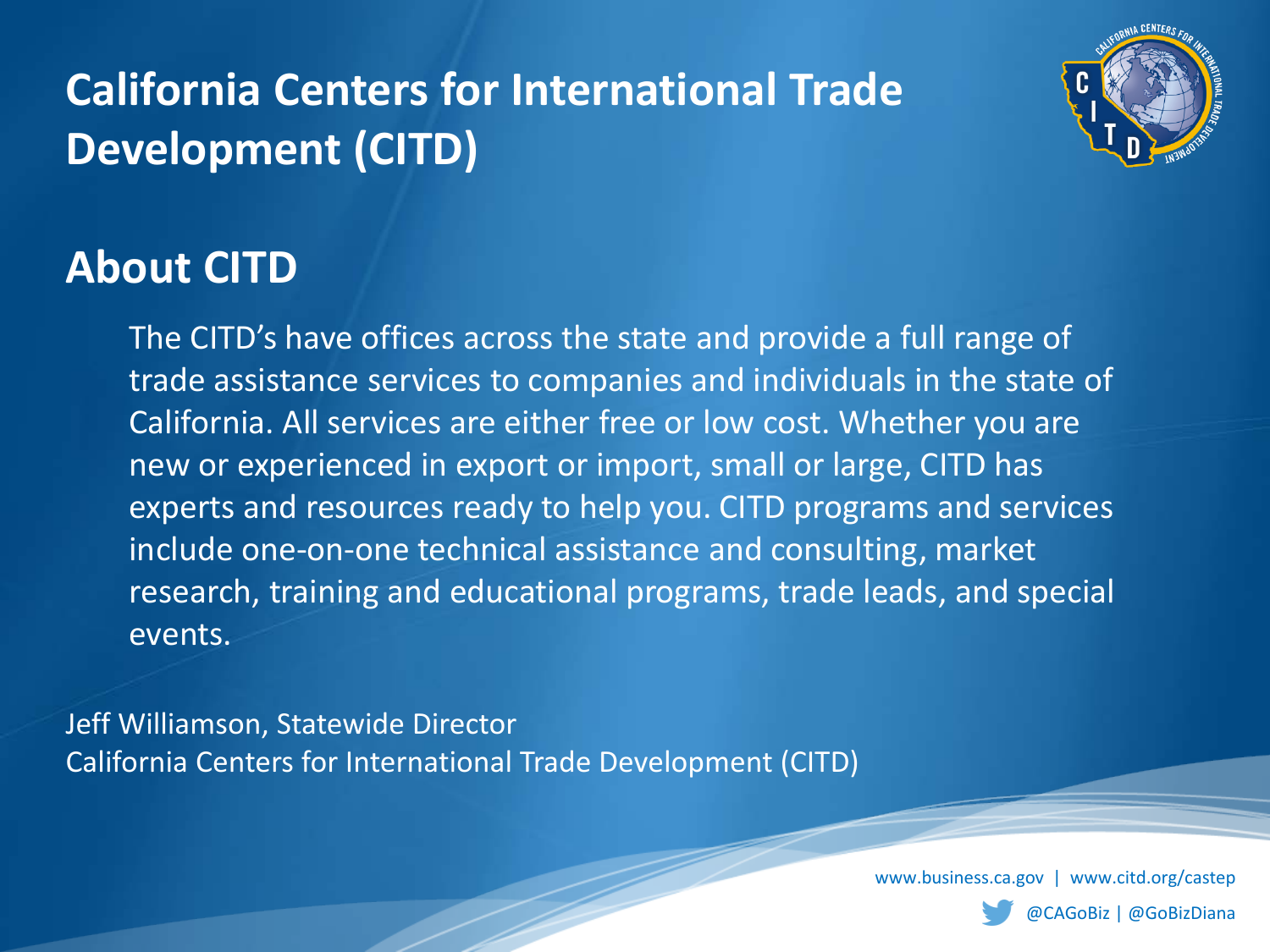## **California Centers for International Trade Development (CITD)**



### **About CITD**

The CITD's have offices across the state and provide a full range of trade assistance services to companies and individuals in the state of California. All services are either free or low cost. Whether you are new or experienced in export or import, small or large, CITD has experts and resources ready to help you. CITD programs and services include one-on-one technical assistance and consulting, market research, training and educational programs, trade leads, and special events.

Jeff Williamson, Statewide Director California Centers for International Trade Development (CITD)

www.business.ca.gov | www.citd.org/castep

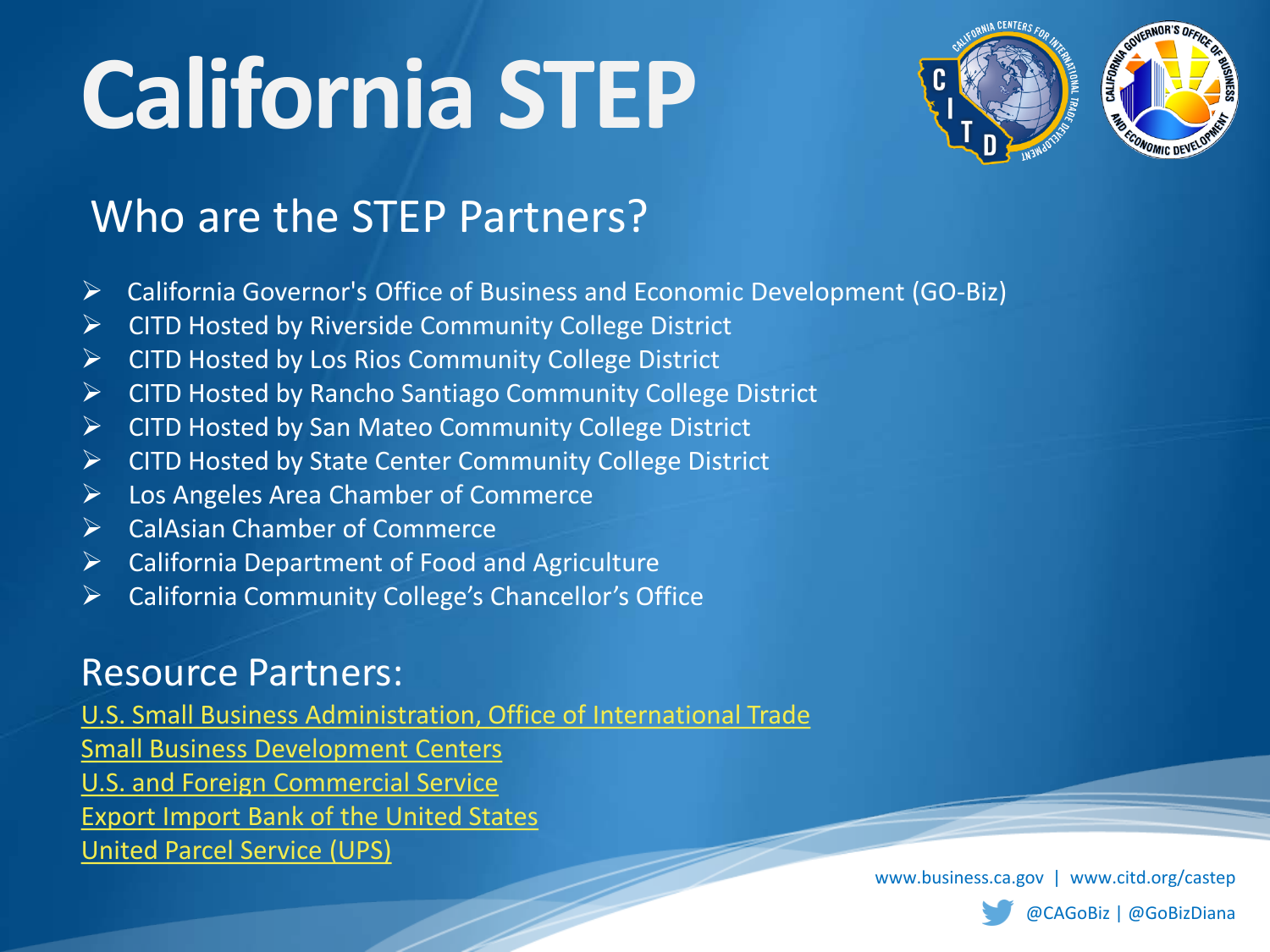

### Who are the STEP Partners?

- California Governor's Office of Business and Economic Development (GO-Biz)
- $\triangleright$  CITD Hosted by Riverside Community College District
- ▶ CITD Hosted by Los Rios Community College District
- $\triangleright$  CITD Hosted by Rancho Santiago Community College District
- $\triangleright$  CITD Hosted by San Mateo Community College District
- **►** CITD Hosted by State Center Community College District
- Los Angeles Area Chamber of Commerce
- **►** CalAsian Chamber of Commerce
- $\triangleright$  California Department of Food and Agriculture
- California Community College's Chancellor's Office

### Resource Partners:

[U.S. Small Business Administration, Office of International Trade](http://www.sba.gov/about-offices-content/1/2889) [Small Business Development Centers](http://www.sba.gov/content/small-business-development-centers-sbdcs) [U.S. and Foreign Commercial Service](https://www.export.gov/) [Export Import Bank of the United States](http://www.exim.gov/) [United Parcel Service \(UPS\)](http://www.international.ups.com/exporting/index.html)

www.business.ca.gov | www.citd.org/castep

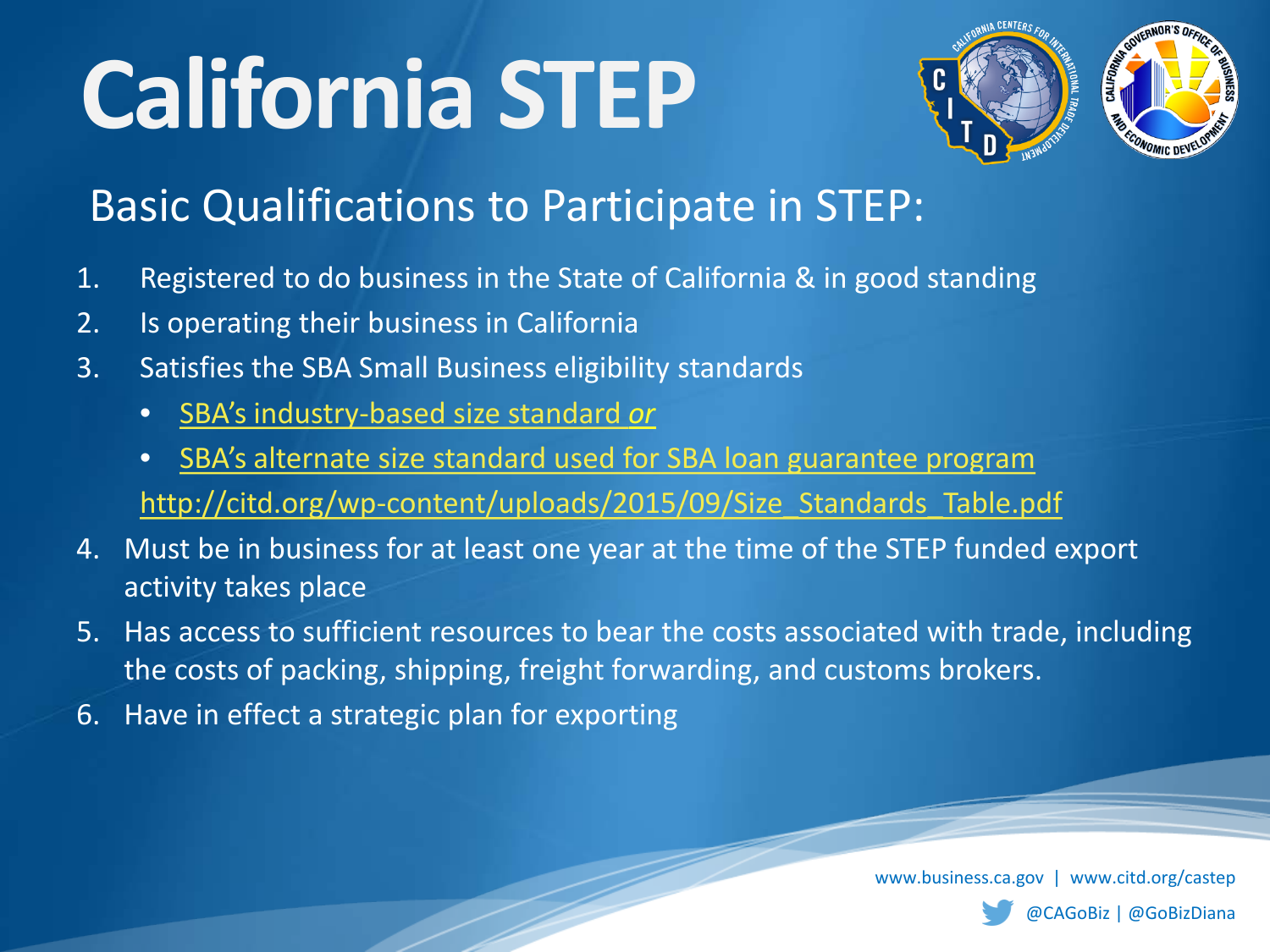

### Basic Qualifications to Participate in STEP:

- 1. Registered to do business in the State of California & in good standing
- 2. Is operating their business in California
- 3. Satisfies the SBA Small Business eligibility standards
	- [SBA's industry-based size standard](http://citd.org/wp-content/uploads/2015/09/Size_Standards_Table.pdf) *or*
	- [SBA's alternate size standard used for SBA loan guarantee program](https://www.sba.gov/contracting/getting-started-contractor/make-sure-you-meet-sba-size-standards) http://citd.org/wp-content/uploads/2015/09/Size Standards Table.pdf
- 4. Must be in business for at least one year at the time of the STEP funded export activity takes place
- 5. Has access to sufficient resources to bear the costs associated with trade, including the costs of packing, shipping, freight forwarding, and customs brokers.
- 6. Have in effect a strategic plan for exporting

www.business.ca.gov | www.citd.org/castep

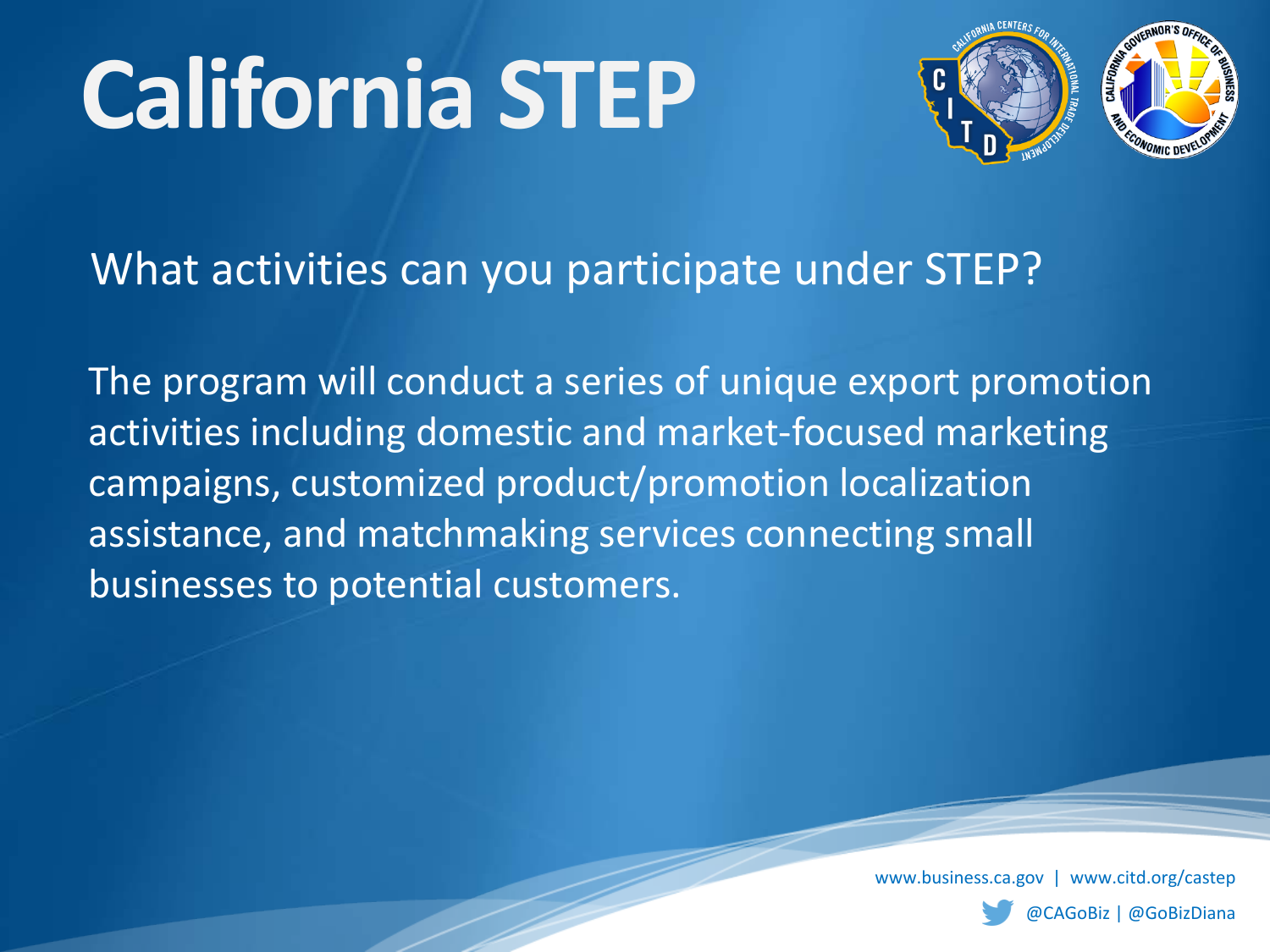

What activities can you participate under STEP?

The program will conduct a series of unique export promotion activities including domestic and market-focused marketing campaigns, customized product/promotion localization assistance, and matchmaking services connecting small businesses to potential customers.

www.business.ca.gov | www.citd.org/castep

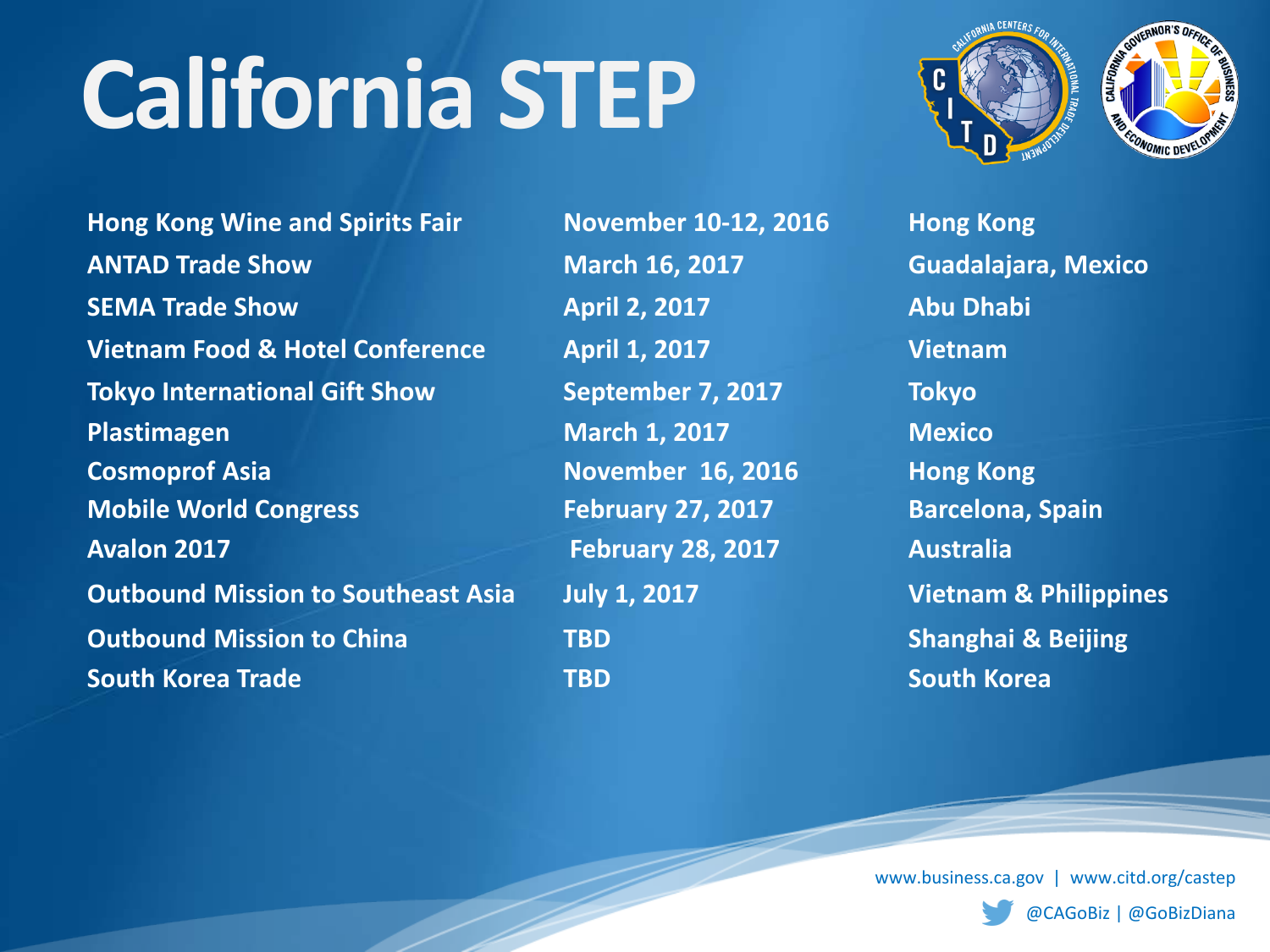**Hong Kong Wine and Spirits Fair November 10-12, 2016 Hong Kong ANTAD Trade Show March 16, 2017 Guadalajara, Mexico SEMA Trade Show April 2, 2017 Abu Dhabi Vietnam Food & Hotel Conference April 1, 2017 Vietnam Tokyo International Gift Show September 7, 2017 Tokyo Plastimagen March 1, 2017 Mexico Cosmoprof Asia Cosmoprof Asia November 16, 2016 Hong Kong Mobile World Congress February 27, 2017 Barcelona, Spain Avalon 2017 February 28, 2017 Australia Outbound Mission to Southeast Asia July 1, 2017 Vietnam & Philippines Outbound Mission to China TBD Shanghai & Beijing South Korea Trade TBD South Korea**

www.business.ca.gov | www.citd.org/castep

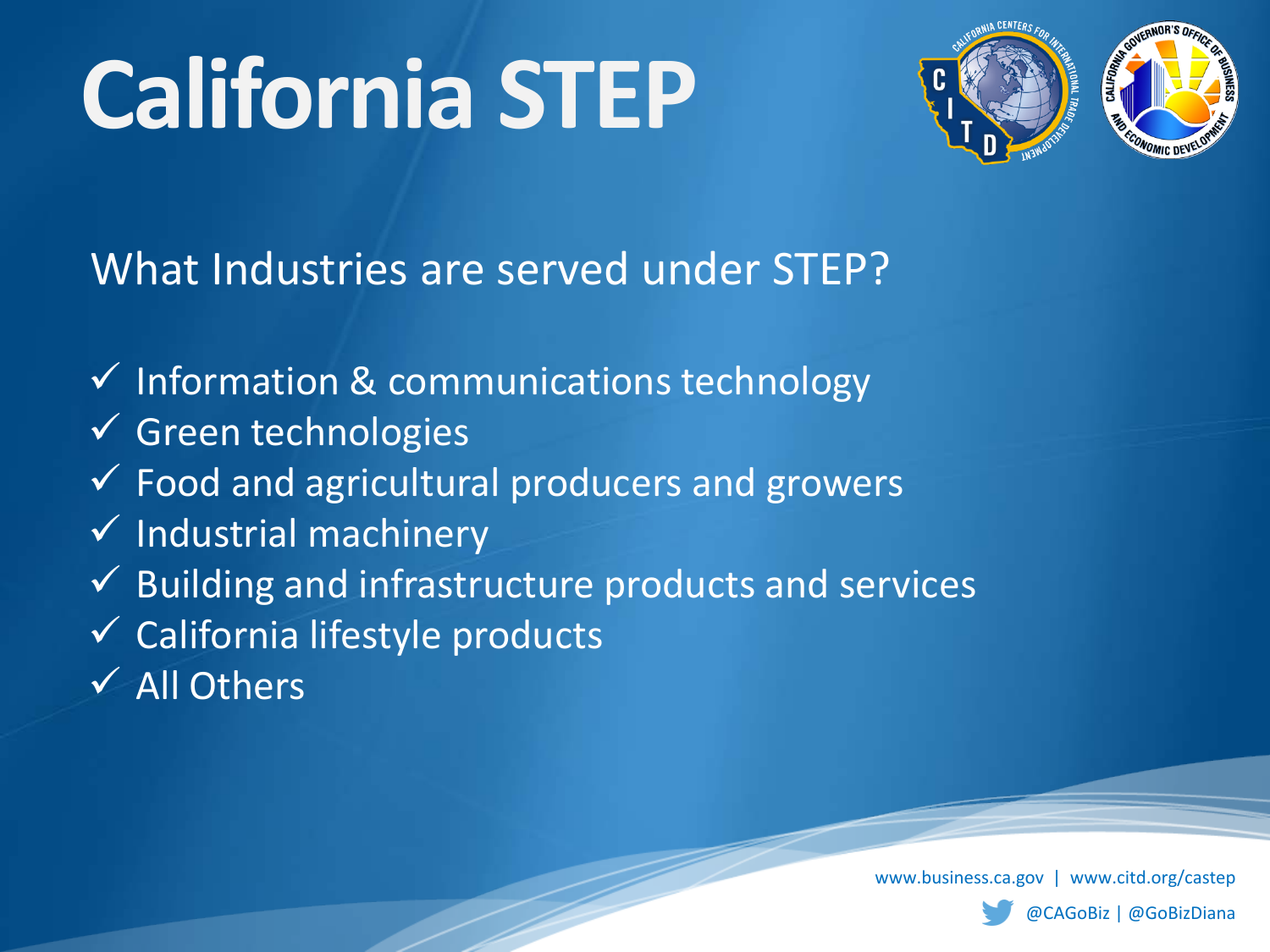

What Industries are served under STEP?

- $\checkmark$  Information & communications technology
- $\checkmark$  Green technologies
- Food and agricultural producers and growers
- $\checkmark$  Industrial machinery
- $\checkmark$  Building and infrastructure products and services
- $\checkmark$  California lifestyle products
- $\checkmark$  All Others

www.business.ca.gov | www.citd.org/castep

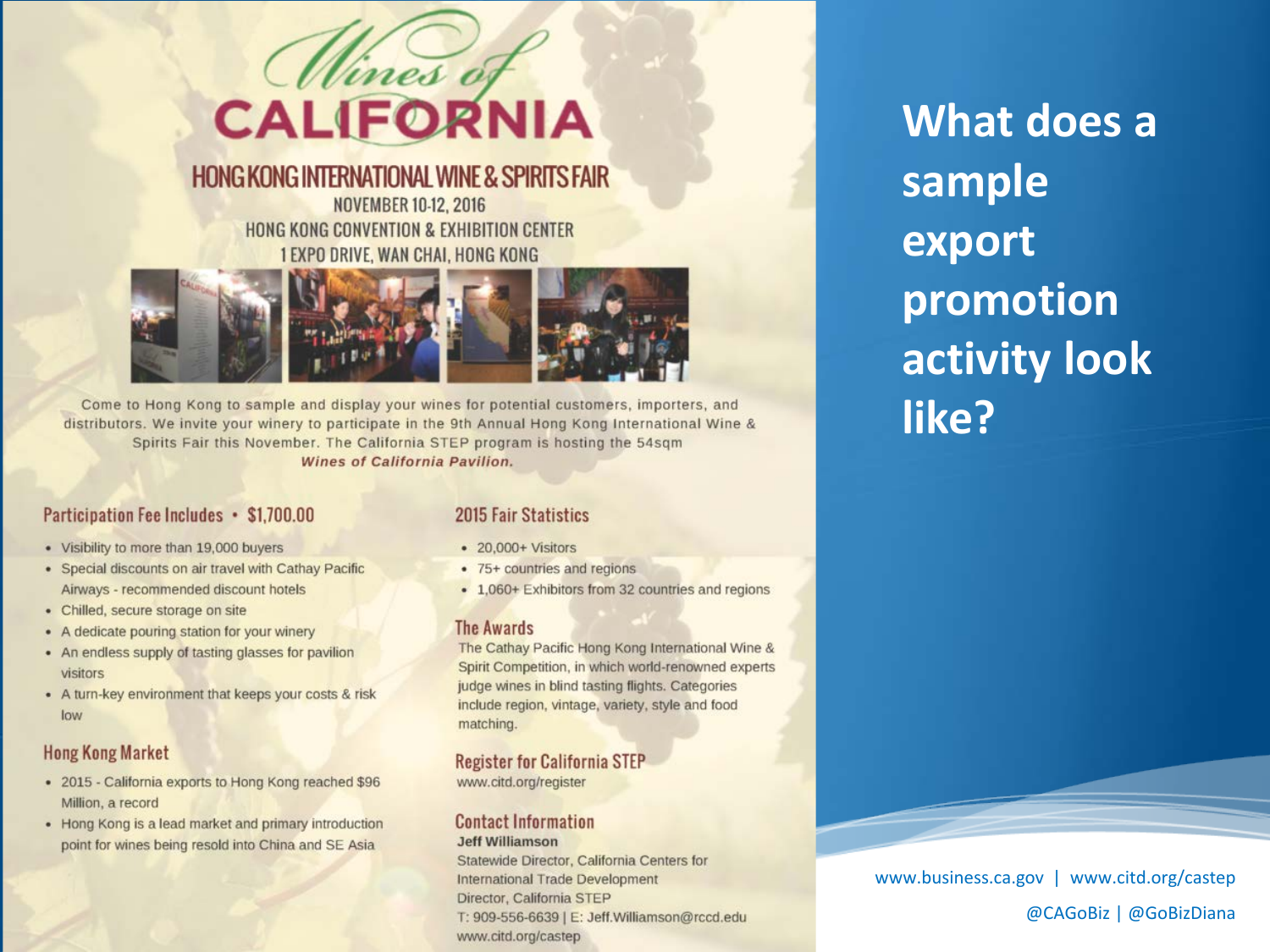

#### **HONG KONG INTERNATIONAL WINE & SPIRITS FAIR**

**NOVEMBER 10-12, 2016** HONG KONG CONVENTION & EXHIBITION CENTER 1 EXPO DRIVE, WAN CHAI, HONG KONG



Come to Hong Kong to sample and display your wines for potential customers, importers, and distributors. We invite your winery to participate in the 9th Annual Hong Kong International Wine & Spirits Fair this November. The California STEP program is hosting the 54sqm Wines of California Pavilion.

#### Participation Fee Includes • \$1,700.00

- Visibility to more than 19,000 buyers
- Special discounts on air travel with Cathay Pacific Airways - recommended discount hotels
- Chilled, secure storage on site
- A dedicate pouring station for your winery
- An endless supply of tasting glasses for pavilion visitors
- A turn-key environment that keeps your costs & risk low

#### **Hong Kong Market**

- 2015 California exports to Hong Kong reached \$96 Million, a record
- Hong Kong is a lead market and primary introduction point for wines being resold into China and SE Asia.

#### 2015 Fair Statistics

- 20,000+ Visitors
- 75+ countries and regions
- 1,060+ Exhibitors from 32 countries and regions

#### **The Awards**

The Cathay Pacific Hong Kong International Wine & Spirit Competition, in which world-renowned experts judge wines in blind tasting flights. Categories include region, vintage, variety, style and food matching.

#### **Register for California STEP**

www.citd.org/register

#### **Contact Information**

#### **Jeff Williamson**

Statewide Director, California Centers for International Trade Development Director, California STEP T: 909-556-6639 | E: Jeff.Williamson@rccd.edu www.citd.org/castep

**What does a sample export promotion activity look like?**

www.business.ca.gov | www.citd.org/castep @CAGoBiz | @GoBizDiana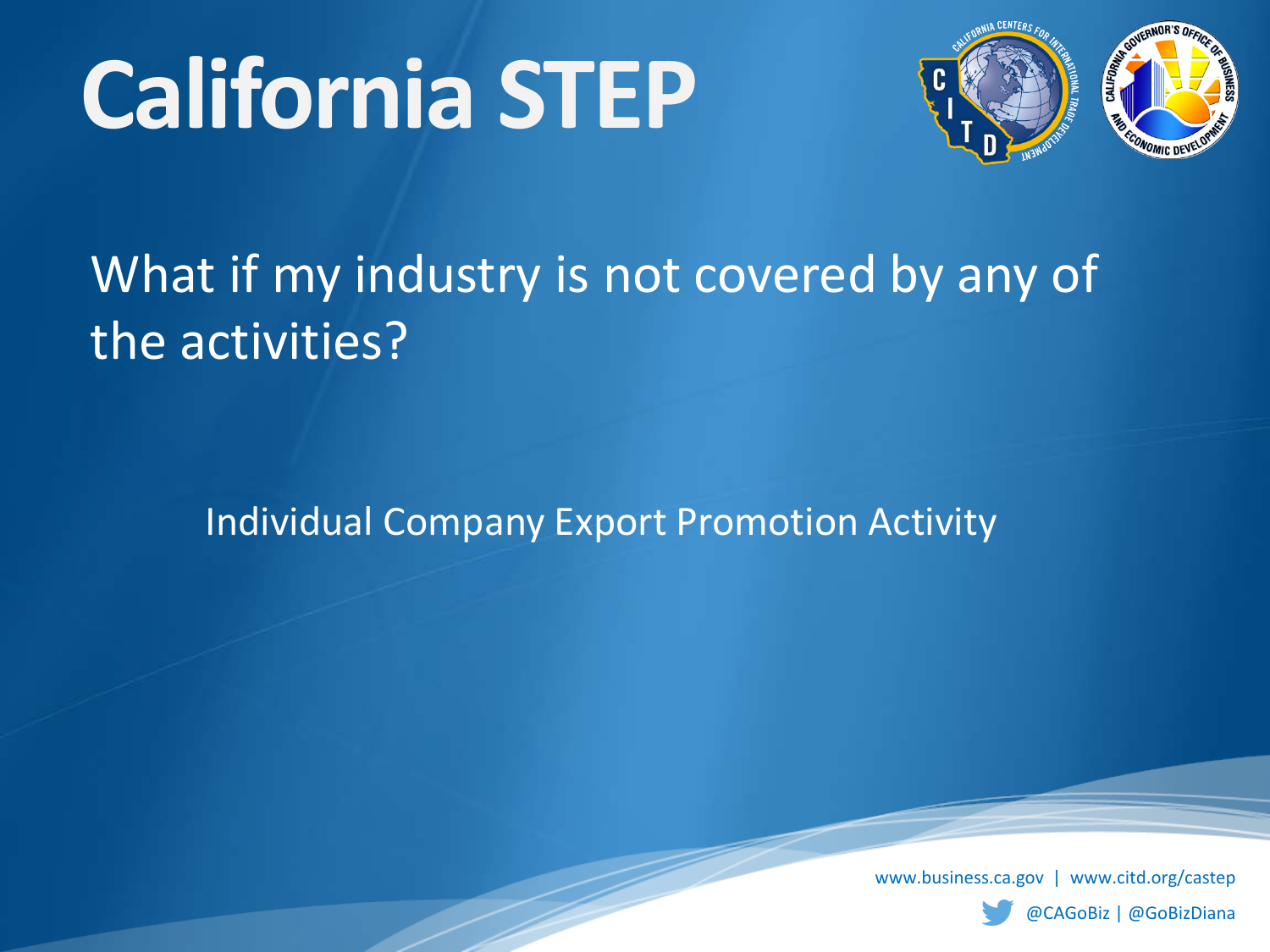

## What if my industry is not covered by any of the activities?

Individual Company Export Promotion Activity

www.business.ca.gov | www.citd.org/castep

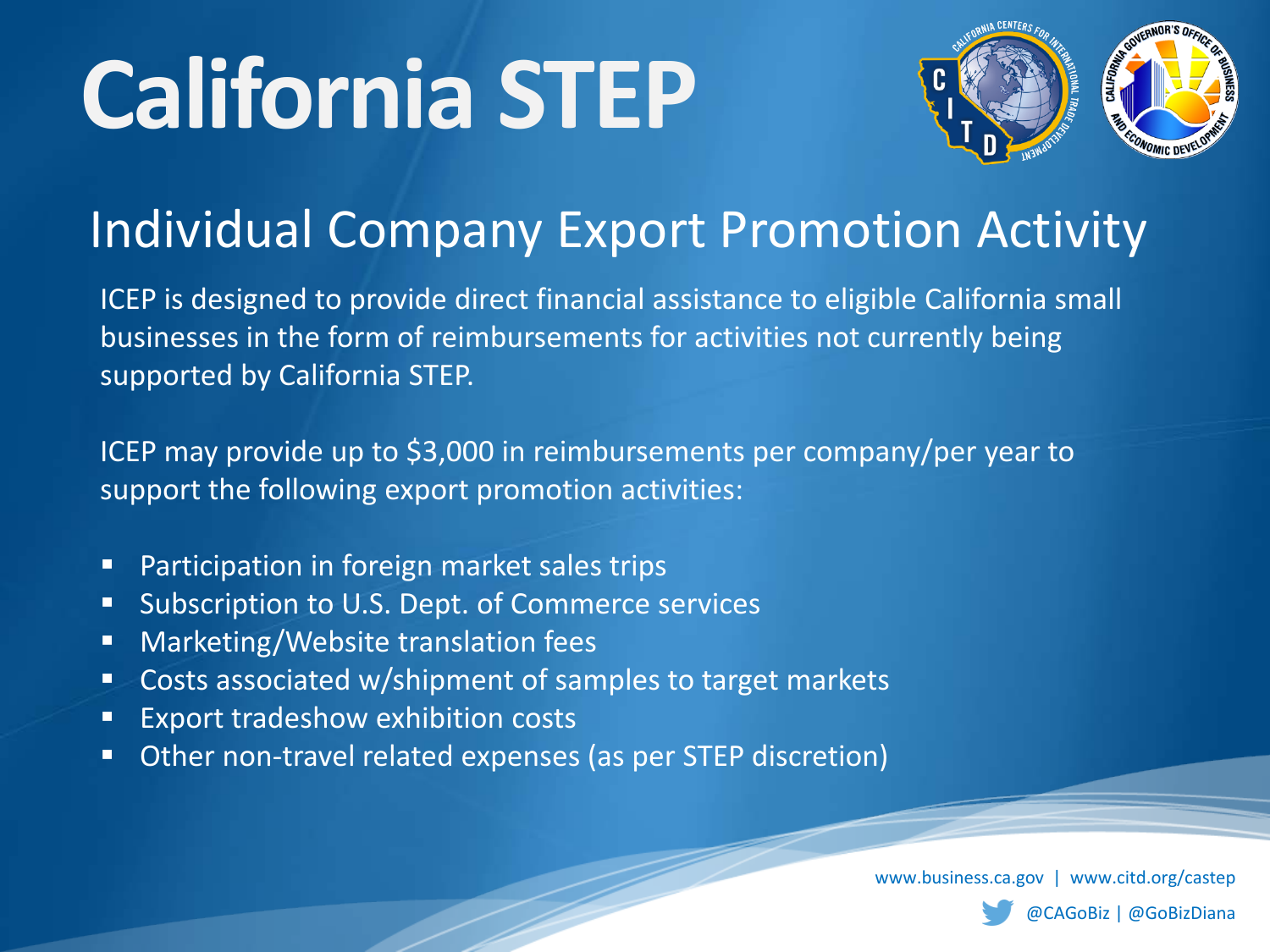

## Individual Company Export Promotion Activity

ICEP is designed to provide direct financial assistance to eligible California small businesses in the form of reimbursements for activities not currently being supported by California STEP.

ICEP may provide up to \$3,000 in reimbursements per company/per year to support the following export promotion activities:

- **Participation in foreign market sales trips**
- **Subscription to U.S. Dept. of Commerce services**
- **Marketing/Website translation fees**
- **Costs associated w/shipment of samples to target markets**
- **Export tradeshow exhibition costs**
- **Other non-travel related expenses (as per STEP discretion)**

www.business.ca.gov | www.citd.org/castep

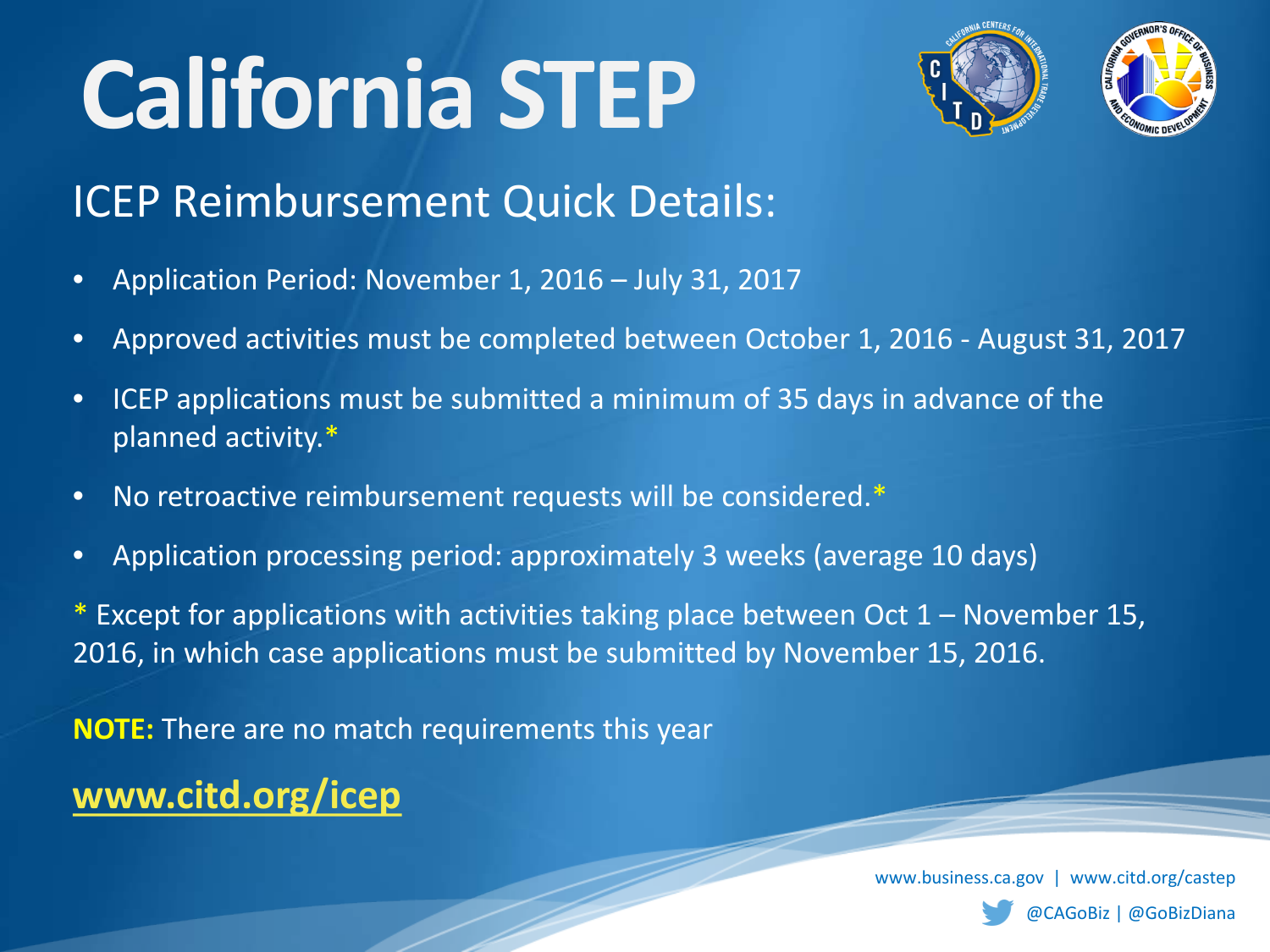

### ICEP Reimbursement Quick Details:

- Application Period: November 1, 2016 July 31, 2017
- Approved activities must be completed between October 1, 2016 August 31, 2017
- ICEP applications must be submitted a minimum of 35 days in advance of the planned activity.\*
- No retroactive reimbursement requests will be considered.\*
- Application processing period: approximately 3 weeks (average 10 days)

\* Except for applications with activities taking place between Oct  $1 -$  November 15, 2016, in which case applications must be submitted by November 15, 2016.

**NOTE:** There are no match requirements this year

**[www.citd.org/icep](http://www.citd.org/icep)**

www.business.ca.gov | www.citd.org/castep